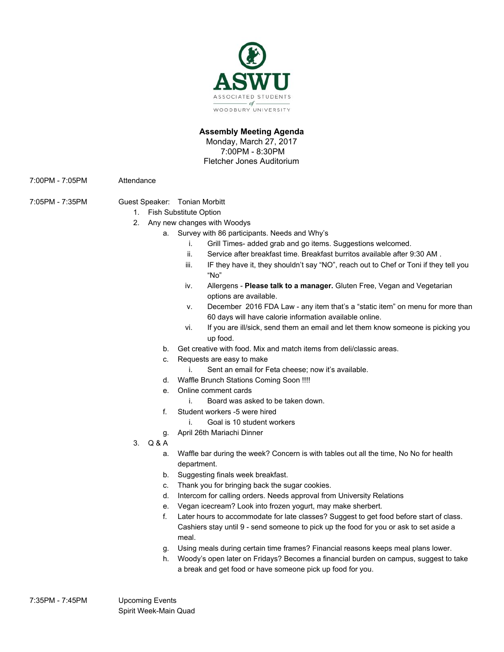

### **Assembly Meeting Agenda** Monday, March 27, 2017

7:00PM - 8:30PM

Fletcher Jones Auditorium

7:00PM - 7:05PM Attendance

- 7:05PM 7:35PM Guest Speaker: Tonian Morbitt
	- 1. Fish Substitute Option
	- 2. Any new changes with Woodys
		- a. Survey with 86 participants. Needs and Why's
			- i. Grill Times- added grab and go items. Suggestions welcomed.
			- ii. Service after breakfast time. Breakfast burritos available after 9:30 AM .
			- iii. IF they have it, they shouldn't say "NO", reach out to Chef or Toni if they tell you "No"
			- iv. Allergens **Please talk to a manager.** Gluten Free, Vegan and Vegetarian options are available.
			- v. December 2016 FDA Law any item that's a "static item" on menu for more than 60 days will have calorie information available online.
			- vi. If you are ill/sick, send them an email and let them know someone is picking you up food.
			- b. Get creative with food. Mix and match items from deli/classic areas.
			- c. Requests are easy to make
				- i. Sent an email for Feta cheese; now it's available.
			- d. Waffle Brunch Stations Coming Soon !!!!
			- e. Online comment cards
				- i. Board was asked to be taken down.
			- f. Student workers -5 were hired
				- i. Goal is 10 student workers
			- g. April 26th Mariachi Dinner
	- 3. Q & A
		- a. Waffle bar during the week? Concern is with tables out all the time, No No for health department.
		- b. Suggesting finals week breakfast.
		- c. Thank you for bringing back the sugar cookies.
		- d. Intercom for calling orders. Needs approval from University Relations
		- e. Vegan icecream? Look into frozen yogurt, may make sherbert.
		- f. Later hours to accommodate for late classes? Suggest to get food before start of class. Cashiers stay until 9 - send someone to pick up the food for you or ask to set aside a meal.
		- g. Using meals during certain time frames? Financial reasons keeps meal plans lower.
		- h. Woody's open later on Fridays? Becomes a financial burden on campus, suggest to take a break and get food or have someone pick up food for you.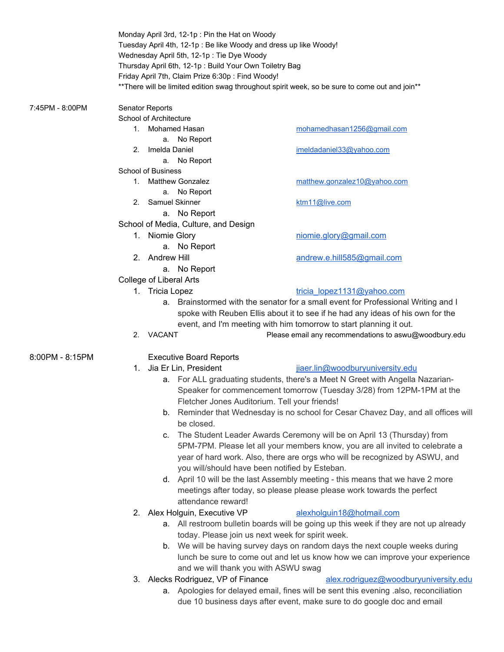|                 |                                                                               |                                                                                            | Monday April 3rd, 12-1p: Pin the Hat on Woody<br>Tuesday April 4th, 12-1p : Be like Woody and dress up like Woody!<br>Wednesday April 5th, 12-1p: Tie Dye Woody<br>Thursday April 6th, 12-1p: Build Your Own Toiletry Bag<br>Friday April 7th, Claim Prize 6:30p: Find Woody!<br>** There will be limited edition swag throughout spirit week, so be sure to come out and join** |  |
|-----------------|-------------------------------------------------------------------------------|--------------------------------------------------------------------------------------------|----------------------------------------------------------------------------------------------------------------------------------------------------------------------------------------------------------------------------------------------------------------------------------------------------------------------------------------------------------------------------------|--|
| 7:45PM - 8:00PM | Senator Reports                                                               |                                                                                            |                                                                                                                                                                                                                                                                                                                                                                                  |  |
|                 | School of Architecture                                                        |                                                                                            |                                                                                                                                                                                                                                                                                                                                                                                  |  |
|                 |                                                                               | 1. Mohamed Hasan                                                                           | mohamedhasan1256@gmail.com                                                                                                                                                                                                                                                                                                                                                       |  |
|                 |                                                                               | a. No Report                                                                               |                                                                                                                                                                                                                                                                                                                                                                                  |  |
|                 | 2.                                                                            | Imelda Daniel                                                                              | imeldadaniel33@yahoo.com                                                                                                                                                                                                                                                                                                                                                         |  |
|                 |                                                                               | a. No Report                                                                               |                                                                                                                                                                                                                                                                                                                                                                                  |  |
|                 | <b>School of Business</b>                                                     |                                                                                            |                                                                                                                                                                                                                                                                                                                                                                                  |  |
|                 |                                                                               | 1. Matthew Gonzalez                                                                        | matthew.gonzalez10@yahoo.com                                                                                                                                                                                                                                                                                                                                                     |  |
|                 |                                                                               | a. No Report                                                                               |                                                                                                                                                                                                                                                                                                                                                                                  |  |
|                 |                                                                               | 2. Samuel Skinner                                                                          | ktm11@live.com                                                                                                                                                                                                                                                                                                                                                                   |  |
|                 | a. No Report<br>School of Media, Culture, and Design                          |                                                                                            |                                                                                                                                                                                                                                                                                                                                                                                  |  |
|                 |                                                                               |                                                                                            |                                                                                                                                                                                                                                                                                                                                                                                  |  |
|                 |                                                                               | 1. Niomie Glory                                                                            | niomie.glory@gmail.com                                                                                                                                                                                                                                                                                                                                                           |  |
|                 |                                                                               | a. No Report                                                                               |                                                                                                                                                                                                                                                                                                                                                                                  |  |
|                 |                                                                               | 2. Andrew Hill                                                                             | andrew.e.hill585@gmail.com                                                                                                                                                                                                                                                                                                                                                       |  |
|                 | a. No Report                                                                  |                                                                                            |                                                                                                                                                                                                                                                                                                                                                                                  |  |
|                 | College of Liberal Arts                                                       |                                                                                            |                                                                                                                                                                                                                                                                                                                                                                                  |  |
|                 |                                                                               | 1. Tricia Lopez                                                                            | tricia lopez1131@yahoo.com                                                                                                                                                                                                                                                                                                                                                       |  |
|                 |                                                                               |                                                                                            | a. Brainstormed with the senator for a small event for Professional Writing and I                                                                                                                                                                                                                                                                                                |  |
|                 |                                                                               |                                                                                            | spoke with Reuben Ellis about it to see if he had any ideas of his own for the                                                                                                                                                                                                                                                                                                   |  |
|                 |                                                                               |                                                                                            | event, and I'm meeting with him tomorrow to start planning it out.                                                                                                                                                                                                                                                                                                               |  |
|                 |                                                                               | 2. VACANT                                                                                  | Please email any recommendations to aswu@woodbury.edu                                                                                                                                                                                                                                                                                                                            |  |
| 8:00PM - 8:15PM |                                                                               | <b>Executive Board Reports</b>                                                             |                                                                                                                                                                                                                                                                                                                                                                                  |  |
|                 | 1.                                                                            | Jia Er Lin, President                                                                      | jiaer.lin@woodburyuniversity.edu                                                                                                                                                                                                                                                                                                                                                 |  |
|                 |                                                                               |                                                                                            | a. For ALL graduating students, there's a Meet N Greet with Angella Nazarian-                                                                                                                                                                                                                                                                                                    |  |
|                 |                                                                               | Speaker for commencement tomorrow (Tuesday 3/28) from 12PM-1PM at the                      |                                                                                                                                                                                                                                                                                                                                                                                  |  |
|                 |                                                                               | Fletcher Jones Auditorium. Tell your friends!                                              |                                                                                                                                                                                                                                                                                                                                                                                  |  |
|                 |                                                                               | Reminder that Wednesday is no school for Cesar Chavez Day, and all offices will<br>b.      |                                                                                                                                                                                                                                                                                                                                                                                  |  |
|                 |                                                                               | be closed.<br>The Student Leader Awards Ceremony will be on April 13 (Thursday) from<br>C. |                                                                                                                                                                                                                                                                                                                                                                                  |  |
|                 |                                                                               |                                                                                            |                                                                                                                                                                                                                                                                                                                                                                                  |  |
|                 | 5PM-7PM. Please let all your members know, you are all invited to celebrate a |                                                                                            |                                                                                                                                                                                                                                                                                                                                                                                  |  |
|                 | year of hard work. Also, there are orgs who will be recognized by ASWU, and   |                                                                                            |                                                                                                                                                                                                                                                                                                                                                                                  |  |
|                 |                                                                               |                                                                                            | you will/should have been notified by Esteban.                                                                                                                                                                                                                                                                                                                                   |  |
|                 |                                                                               |                                                                                            |                                                                                                                                                                                                                                                                                                                                                                                  |  |

- d. April 10 will be the last Assembly meeting this means that we have 2 more meetings after today, so please please please work towards the perfect attendance reward!
- 2. Alex Holguin, Executive VP [alexholguin18@hotmail.com](mailto:alexholguin18@hotmail.com)

# a. All restroom bulletin boards will be going up this week if they are not up already today. Please join us next week for spirit week.

- b. We will be having survey days on random days the next couple weeks during lunch be sure to come out and let us know how we can improve your experience and we will thank you with ASWU swag
- 3. Alecks Rodriguez, VP of Finance [alex.rodriguez@woodburyuniversity.edu](mailto:alex.rodriguez@woodburyuniversity.edu)
	- a. Apologies for delayed email, fines will be sent this evening .also, reconciliation due 10 business days after event, make sure to do google doc and email